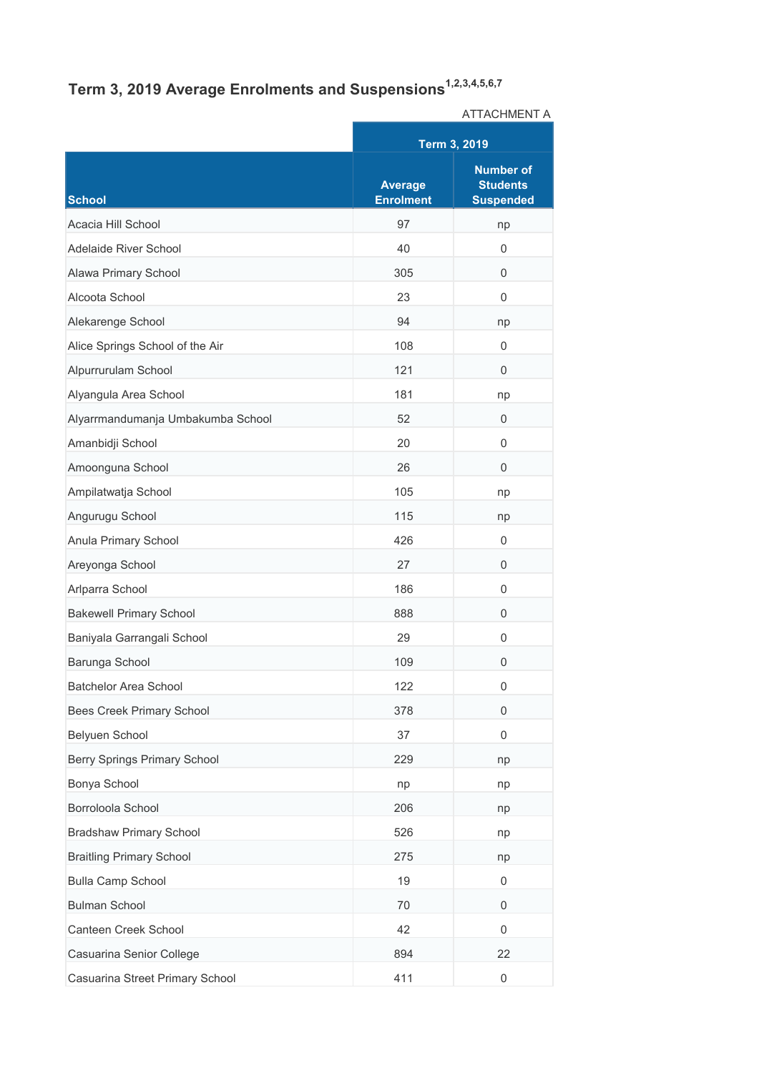## **Term 3, 2019 Average Enrolments and Suspensions1,2,3,4,5,6,7**

|                                   |                                    | ATTAUTIVIENT A                                          |  |
|-----------------------------------|------------------------------------|---------------------------------------------------------|--|
|                                   |                                    | Term 3, 2019                                            |  |
| <b>School</b>                     | <b>Average</b><br><b>Enrolment</b> | <b>Number of</b><br><b>Students</b><br><b>Suspended</b> |  |
| Acacia Hill School                | 97                                 | np                                                      |  |
| Adelaide River School             | 40                                 | 0                                                       |  |
| Alawa Primary School              | 305                                | 0                                                       |  |
| Alcoota School                    | 23                                 | $\mathbf 0$                                             |  |
| Alekarenge School                 | 94                                 | np                                                      |  |
| Alice Springs School of the Air   | 108                                | 0                                                       |  |
| Alpurrurulam School               | 121                                | $\mathbf 0$                                             |  |
| Alyangula Area School             | 181                                | np                                                      |  |
| Alyarrmandumanja Umbakumba School | 52                                 | 0                                                       |  |
| Amanbidji School                  | 20                                 | 0                                                       |  |
| Amoonguna School                  | 26                                 | 0                                                       |  |
| Ampilatwatja School               | 105                                | np                                                      |  |
| Angurugu School                   | 115                                | np                                                      |  |
| Anula Primary School              | 426                                | 0                                                       |  |
| Areyonga School                   | 27                                 | 0                                                       |  |
| Arlparra School                   | 186                                | $\mathbf 0$                                             |  |
| <b>Bakewell Primary School</b>    | 888                                | 0                                                       |  |
| Baniyala Garrangali School        | 29                                 | $\mathbf 0$                                             |  |
| Barunga School                    | 109                                | $\Omega$                                                |  |
| Batchelor Area School             | 122                                | 0                                                       |  |
| Bees Creek Primary School         | 378                                | 0                                                       |  |
| Belyuen School                    | 37                                 | $\mathbf 0$                                             |  |
| Berry Springs Primary School      | 229                                | np                                                      |  |
| Bonya School                      | np                                 | np                                                      |  |
| Borroloola School                 | 206                                | np                                                      |  |
| <b>Bradshaw Primary School</b>    | 526                                | np                                                      |  |
| <b>Braitling Primary School</b>   | 275                                | np                                                      |  |
| <b>Bulla Camp School</b>          | 19                                 | 0                                                       |  |
| <b>Bulman School</b>              | 70                                 | 0                                                       |  |
| Canteen Creek School              | 42                                 | $\mathbf 0$                                             |  |
| Casuarina Senior College          | 894                                | 22                                                      |  |
| Casuarina Street Primary School   | 411                                | 0                                                       |  |

ATTACHMENT A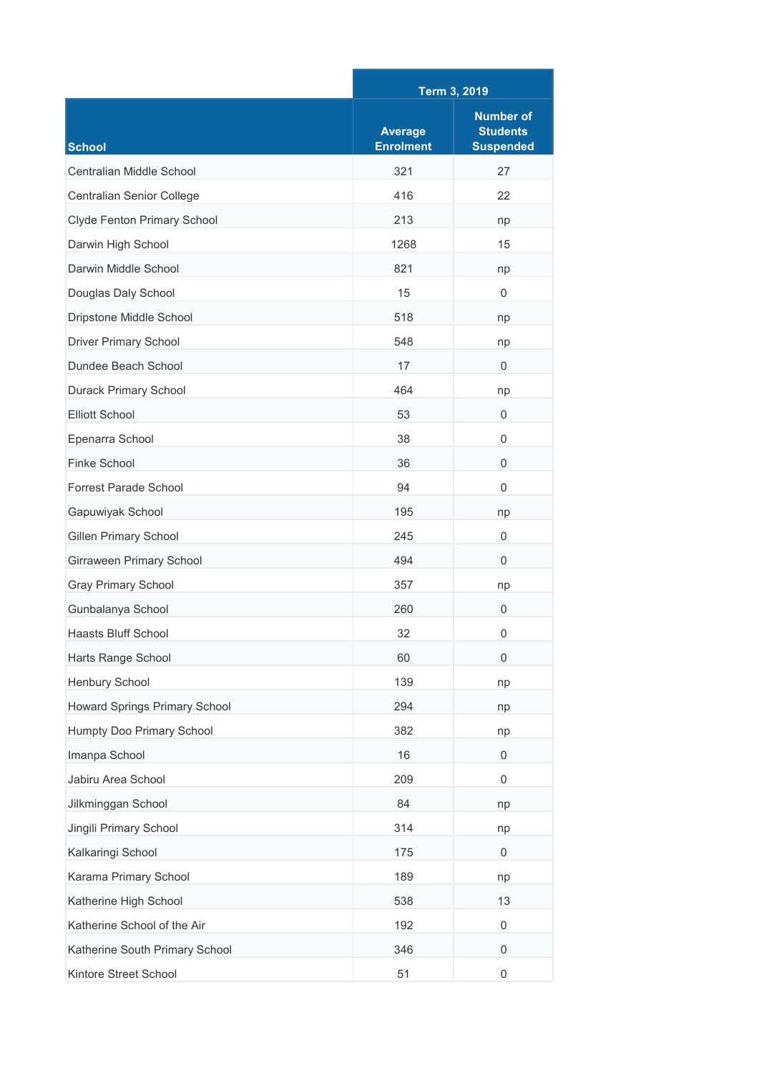|                                |                                    | Term 3, 2019                                            |  |
|--------------------------------|------------------------------------|---------------------------------------------------------|--|
| <b>School</b>                  | <b>Average</b><br><b>Enrolment</b> | <b>Number of</b><br><b>Students</b><br><b>Suspended</b> |  |
| Centralian Middle School       | 321                                | 27                                                      |  |
| Centralian Senior College      | 416                                | 22                                                      |  |
| Clyde Fenton Primary School    | 213                                | np                                                      |  |
| Darwin High School             | 1268                               | 15                                                      |  |
| Darwin Middle School           | 821                                | np                                                      |  |
| Douglas Daly School            | 15                                 | 0                                                       |  |
| Dripstone Middle School        | 518                                | np                                                      |  |
| <b>Driver Primary School</b>   | 548                                | np                                                      |  |
| Dundee Beach School            | 17                                 | $\Omega$                                                |  |
| <b>Durack Primary School</b>   | 464                                | np                                                      |  |
| <b>Elliott School</b>          | 53                                 | 0                                                       |  |
| Epenarra School                | 38                                 | 0                                                       |  |
| Finke School                   | 36                                 | 0                                                       |  |
| <b>Forrest Parade School</b>   | 94                                 | 0                                                       |  |
| Gapuwiyak School               | 195                                | np                                                      |  |
| <b>Gillen Primary School</b>   | 245                                | 0                                                       |  |
| Girraween Primary School       | 494                                | 0                                                       |  |
| <b>Gray Primary School</b>     | 357                                | np                                                      |  |
| Gunbalanya School              | 260                                | 0                                                       |  |
| <b>Haasts Bluff School</b>     | 32                                 | 0                                                       |  |
| Harts Range School             | 60                                 | 0                                                       |  |
| Henbury School                 | 139                                | np                                                      |  |
| Howard Springs Primary School  | 294                                | np                                                      |  |
| Humpty Doo Primary School      | 382                                | np                                                      |  |
| Imanpa School                  | 16                                 | 0                                                       |  |
| Jabiru Area School             | 209                                | 0                                                       |  |
| Jilkminggan School             | 84                                 | np                                                      |  |
| Jingili Primary School         | 314                                | np                                                      |  |
| Kalkaringi School              | 175                                | 0                                                       |  |
| Karama Primary School          | 189                                | np                                                      |  |
| Katherine High School          | 538                                | 13                                                      |  |
| Katherine School of the Air    | 192                                | 0                                                       |  |
| Katherine South Primary School | 346                                | 0                                                       |  |
| Kintore Street School          | 51                                 | 0                                                       |  |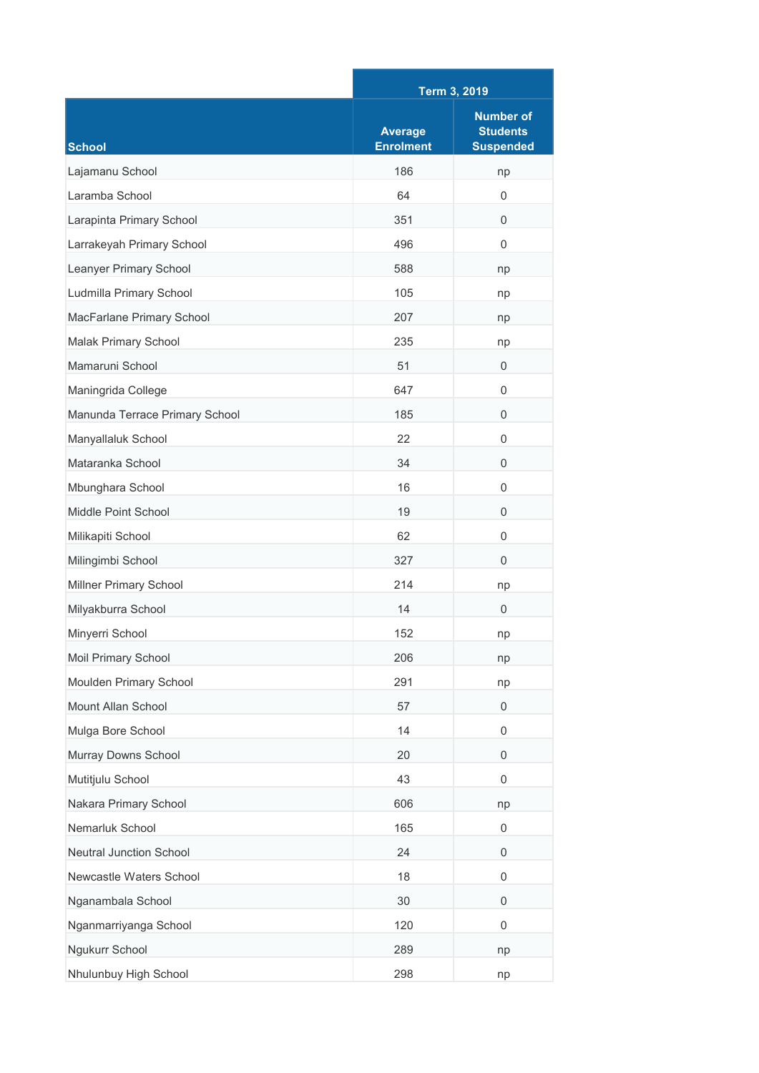|                                | Term 3, 2019                       |                                                         |
|--------------------------------|------------------------------------|---------------------------------------------------------|
| <b>School</b>                  | <b>Average</b><br><b>Enrolment</b> | <b>Number of</b><br><b>Students</b><br><b>Suspended</b> |
| Lajamanu School                | 186                                | np                                                      |
| Laramba School                 | 64                                 | $\Omega$                                                |
| Larapinta Primary School       | 351                                | $\Omega$                                                |
| Larrakeyah Primary School      | 496                                | 0                                                       |
| Leanyer Primary School         | 588                                | np                                                      |
| Ludmilla Primary School        | 105                                | np                                                      |
| MacFarlane Primary School      | 207                                | np                                                      |
| Malak Primary School           | 235                                | np                                                      |
| Mamaruni School                | 51                                 | 0                                                       |
| Maningrida College             | 647                                | 0                                                       |
| Manunda Terrace Primary School | 185                                | $\mathbf{0}$                                            |
| Manyallaluk School             | 22                                 | $\Omega$                                                |
| Mataranka School               | 34                                 | 0                                                       |
| Mbunghara School               | 16                                 | $\Omega$                                                |
| Middle Point School            | 19                                 | 0                                                       |
| Milikapiti School              | 62                                 | $\mathbf 0$                                             |
| Milingimbi School              | 327                                | $\Omega$                                                |
| Millner Primary School         | 214                                | np                                                      |
| Milyakburra School             | 14                                 | $\Omega$                                                |
| Minyerri School                | 152                                | np                                                      |
| Moil Primary School            | 206                                | np                                                      |
| Moulden Primary School         | 291                                | np                                                      |
| Mount Allan School             | 57                                 | 0                                                       |
| Mulga Bore School              | 14                                 | 0                                                       |
| Murray Downs School            | 20                                 | $\mathbf{0}$                                            |
| Mutitjulu School               | 43                                 | 0                                                       |
| Nakara Primary School          | 606                                | np                                                      |
| Nemarluk School                | 165                                | $\mathbf 0$                                             |
| <b>Neutral Junction School</b> | 24                                 | 0                                                       |
| Newcastle Waters School        | 18                                 | $\mathbf 0$                                             |
| Nganambala School              | 30                                 | 0                                                       |
| Nganmarriyanga School          | 120                                | 0                                                       |
| Ngukurr School                 | 289                                | np                                                      |
| Nhulunbuy High School          | 298                                | np                                                      |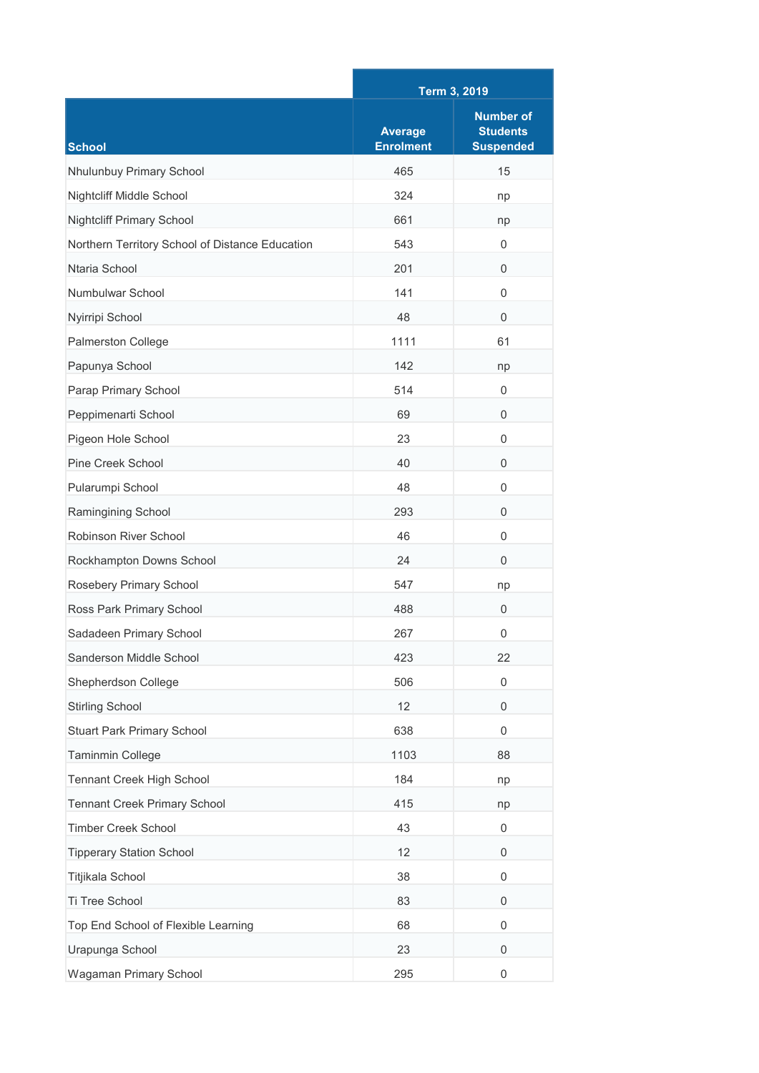|                                                 | Term 3, 2019                       |                                                         |
|-------------------------------------------------|------------------------------------|---------------------------------------------------------|
| <b>School</b>                                   | <b>Average</b><br><b>Enrolment</b> | <b>Number of</b><br><b>Students</b><br><b>Suspended</b> |
| Nhulunbuy Primary School                        | 465                                | 15                                                      |
| Nightcliff Middle School                        | 324                                | np                                                      |
| <b>Nightcliff Primary School</b>                | 661                                | np                                                      |
| Northern Territory School of Distance Education | 543                                | 0                                                       |
| Ntaria School                                   | 201                                | $\Omega$                                                |
| Numbulwar School                                | 141                                | $\Omega$                                                |
| Nyirripi School                                 | 48                                 | $\Omega$                                                |
| Palmerston College                              | 1111                               | 61                                                      |
| Papunya School                                  | 142                                | np                                                      |
| Parap Primary School                            | 514                                | 0                                                       |
| Peppimenarti School                             | 69                                 | $\mathbf{0}$                                            |
| Pigeon Hole School                              | 23                                 | $\Omega$                                                |
| <b>Pine Creek School</b>                        | 40                                 | $\Omega$                                                |
| Pularumpi School                                | 48                                 | $\Omega$                                                |
| Ramingining School                              | 293                                | 0                                                       |
| Robinson River School                           | 46                                 | $\mathbf 0$                                             |
| Rockhampton Downs School                        | 24                                 | $\Omega$                                                |
| Rosebery Primary School                         | 547                                | np                                                      |
| Ross Park Primary School                        | 488                                | $\mathbf{0}$                                            |
| Sadadeen Primary School                         | 267                                | 0                                                       |
| Sanderson Middle School                         | 423                                | 22                                                      |
| Shepherdson College                             | 506                                | $\mathbf 0$                                             |
| <b>Stirling School</b>                          | 12                                 | 0                                                       |
| Stuart Park Primary School                      | 638                                | 0                                                       |
| Taminmin College                                | 1103                               | 88                                                      |
| Tennant Creek High School                       | 184                                | np                                                      |
| <b>Tennant Creek Primary School</b>             | 415                                | np                                                      |
| <b>Timber Creek School</b>                      | 43                                 | $\mathbf 0$                                             |
| <b>Tipperary Station School</b>                 | 12                                 | 0                                                       |
| Titjikala School                                | 38                                 | $\mathbf 0$                                             |
| Ti Tree School                                  | 83                                 | 0                                                       |
| Top End School of Flexible Learning             | 68                                 | 0                                                       |
| Urapunga School                                 | 23                                 | $\mathbf 0$                                             |
| Wagaman Primary School                          | 295                                | $\boldsymbol{0}$                                        |